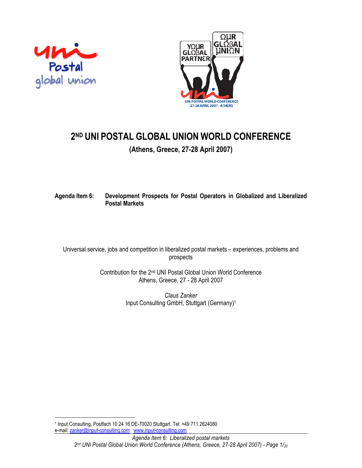



# **2ND UNI POSTAL GLOBAL UNION WORLD CONFERENCE**

**(Athens, Greece, 27-28 April 2007)** 

# **Agenda Item 6: Development Prospects for Postal Operators in Globalized and Liberalized Postal Markets**

Universal service, jobs and competition in liberalized postal markets – experiences, problems and prospects

> Contribution for the 2nd UNI Postal Global Union World Conference Athens, Greece, 27 - 28 April 2007

> > *Claus Zanker*  Input Consulting GmbH, Stuttgart (Germany)1

 $\overline{\phantom{a}}$ 1 Input Consulting, Postfach 10 24 16 DE-70020 Stuttgart. Tel: +49 711 2624080 e-mail: zanker@input-consulting.com www.input-consulting.com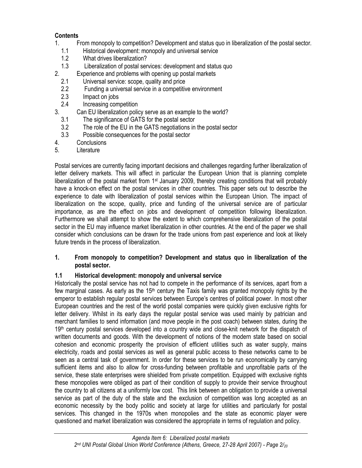# **Contents**

- 1. From monopoly to competition? Development and status quo in liberalization of the postal sector.
	- 1.1 Historical development: monopoly and universal service
	- 1.2 What drives liberalization?
	- 1.3 Liberalization of postal services: development and status quo
- 2. Experience and problems with opening up postal markets
	- 2.1 Universal service: scope, quality and price
	- 2.2 Funding a universal service in a competitive environment
	- 2.3 Impact on jobs
	- 2.4 Increasing competition
- 3. Can EU liberalization policy serve as an example to the world?
	- 3.1 The significance of GATS for the postal sector
	- 3.2 The role of the EU in the GATS negotiations in the postal sector
	- 3.3 Possible consequences for the postal sector
- 4. Conclusions
- 5. Literature

Postal services are currently facing important decisions and challenges regarding further liberalization of letter delivery markets. This will affect in particular the European Union that is planning complete liberalization of the postal market from 1<sup>st</sup> January 2009, thereby creating conditions that will probably have a knock-on effect on the postal services in other countries. This paper sets out to describe the experience to date with liberalization of postal services within the European Union. The impact of liberalization on the scope, quality, price and funding of the universal service are of particular importance, as are the effect on jobs and development of competition following liberalization. Furthermore we shall attempt to show the extent to which comprehensive liberalization of the postal sector in the EU may influence market liberalization in other countries. At the end of the paper we shall consider which conclusions can be drawn for the trade unions from past experience and look at likely future trends in the process of liberalization.

## **1. From monopoly to competition? Development and status quo in liberalization of the postal sector.**

# **1.1 Historical development: monopoly and universal service**

Historically the postal service has not had to compete in the performance of its services, apart from a few marginal cases. As early as the 15<sup>th</sup> century the Taxis family was granted monopoly rights by the emperor to establish regular postal services between Europe's centres of political power. In most other European countries and the rest of the world postal companies were quickly given exclusive rights for letter delivery. Whilst in its early days the regular postal service was used mainly by patrician and merchant families to send information (and move people in the post coach) between states, during the 19<sup>th</sup> century postal services developed into a country wide and close-knit network for the dispatch of written documents and goods. With the development of notions of the modern state based on social cohesion and economic prosperity the provision of efficient utilities such as water supply, mains electricity, roads and postal services as well as general public access to these networks came to be seen as a central task of government. In order for these services to be run economically by carrying sufficient items and also to allow for cross-funding between profitable and unprofitable parts of the service, these state enterprises were shielded from private competition. Equipped with exclusive rights these monopolies were obliged as part of their condition of supply to provide their service throughout the country to all citizens at a uniformly low cost. This link between an obligation to provide a universal service as part of the duty of the state and the exclusion of competition was long accepted as an economic necessity by the body politic and society at large for utilities and particularly for postal services. This changed in the 1970s when monopolies and the state as economic player were questioned and market liberalization was considered the appropriate in terms of regulation and policy.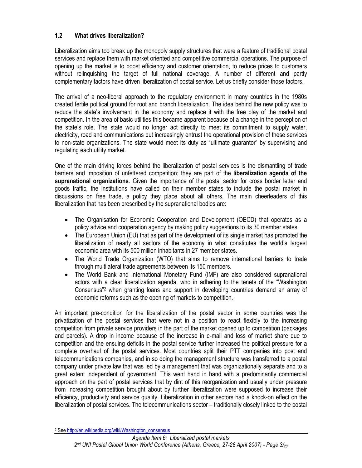# **1.2 What drives liberalization?**

Liberalization aims too break up the monopoly supply structures that were a feature of traditional postal services and replace them with market oriented and competitive commercial operations. The purpose of opening up the market is to boost efficiency and customer orientation, to reduce prices to customers without relinquishing the target of full national coverage. A number of different and partly complementary factors have driven liberalization of postal service. Let us briefly consider those factors.

The arrival of a neo-liberal approach to the regulatory environment in many countries in the 1980s created fertile political ground for root and branch liberalization. The idea behind the new policy was to reduce the state's involvement in the economy and replace it with the free play of the market and competition. In the area of basic utilities this became apparent because of a change in the perception of the state's role. The state would no longer act directly to meet its commitment to supply water, electricity, road and communications but increasingly entrust the operational provision of these services to non-state organizations. The state would meet its duty as "ultimate guarantor" by supervising and regulating each utility market.

One of the main driving forces behind the liberalization of postal services is the dismantling of trade barriers and imposition of unfettered competition; they are part of the **liberalization agenda of the supranational organizations**. Given the importance of the postal sector for cross border letter and goods traffic, the institutions have called on their member states to include the postal market in discussions on free trade, a policy they place about all others. The main cheerleaders of this liberalization that has been prescribed by the supranational bodies are:

- The Organisation for Economic Cooperation and Development (OECD) that operates as a policy advice and cooperation agency by making policy suggestions to its 30 member states.
- The European Union (EU) that as part of the development of its single market has promoted the liberalization of nearly all sectors of the economy in what constitutes the world's largest economic area with its 500 million inhabitants in 27 member states.
- The World Trade Organization (WTO) that aims to remove international barriers to trade through multilateral trade agreements between its 150 members.
- The World Bank and International Monetary Fund (IMF) are also considered supranational actors with a clear liberalization agenda, who in adhering to the tenets of the "Washington Consensus"2 when granting loans and support in developing countries demand an array of economic reforms such as the opening of markets to competition.

An important pre-condition for the liberalization of the postal sector in some countries was the privatization of the postal services that were not in a position to react flexibly to the increasing competition from private service providers in the part of the market opened up to competition (packages and parcels). A drop in income because of the increase in e-mail and loss of market share due to competition and the ensuing deficits in the postal service further increased the political pressure for a complete overhaul of the postal services. Most countries split their PTT companies into post and telecommunications companies, and in so doing the management structure was transferred to a postal company under private law that was led by a management that was organizationally separate and to a great extent independent of government. This went hand in hand with a predominantly commercial approach on the part of postal services that by dint of this reorganization and usually under pressure from increasing competition brought about by further liberalization were supposed to increase their efficiency, productivity and service quality. Liberalization in other sectors had a knock-on effect on the liberalization of postal services. The telecommunications sector – traditionally closely linked to the postal

 $\overline{\phantom{a}}$ <sup>2</sup> See http://en.wikipedia.org/wiki/Washington\_consensus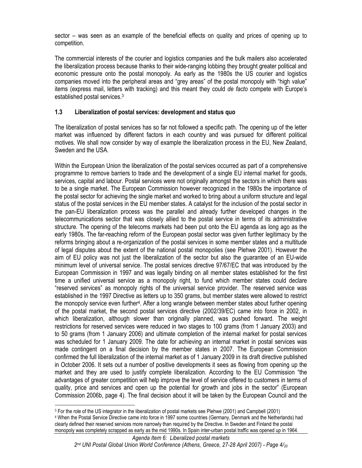sector – was seen as an example of the beneficial effects on quality and prices of opening up to competition.

The commercial interests of the courier and logistics companies and the bulk mailers also accelerated the liberalization process because thanks to their wide-ranging lobbing they brought greater political and economic pressure onto the postal monopoly. As early as the 1980s the US courier and logistics companies moved into the peripheral areas and "grey areas" of the postal monopoly with "high value" items (express mail, letters with tracking) and this meant they could *de facto* compete with Europe's established postal services.3

# **1.3 Liberalization of postal services: development and status quo**

The liberalization of postal services has so far not followed a specific path. The opening up of the letter market was influenced by different factors in each country and was pursued for different political motives. We shall now consider by way of example the liberalization process in the EU, New Zealand, Sweden and the USA.

Within the European Union the liberalization of the postal services occurred as part of a comprehensive programme to remove barriers to trade and the development of a single EU internal market for goods, services, capital and labour. Postal services were not originally amongst the sectors in which there was to be a single market. The European Commission however recognized in the 1980s the importance of the postal sector for achieving the single market and worked to bring about a uniform structure and legal status of the postal services in the EU member states. A catalyst for the inclusion of the postal sector in the pan-EU liberalization process was the parallel and already further developed changes in the telecommunications sector that was closely allied to the postal service in terms of its administrative structure. The opening of the telecoms markets had been put onto the EU agenda as long ago as the early 1980s. The far-reaching reform of the European postal sector was given further legitimacy by the reforms bringing about a re-organization of the postal services in some member states and a multitude of legal disputes about the extent of the national postal monopolies (see Plehwe 2001). However the aim of EU policy was not just the liberalization of the sector but also the guarantee of an EU-wide minimum level of universal service. The postal services directive 97/67/EC that was introduced by the European Commission in 1997 and was legally binding on all member states established for the first time a unified universal service as a monopoly right, to fund which member states could declare "reserved services" as monopoly rights of the universal service provider. The reserved service was established in the 1997 Directive as letters up to 350 grams, but member states were allowed to restrict the monopoly service even further4. After a long wrangle between member states about further opening of the postal market, the second postal services directive (2002/39/EC) came into force in 2002, in which liberalization, although slower than originally planned, was pushed forward. The weight restrictions for reserved services were reduced in two stages to 100 grams (from 1 January 2003) and to 50 grams (from 1 January 2006) and ultimate completion of the internal market for postal services was scheduled for 1 January 2009. The date for achieving an internal market in postal services was made contingent on a final decision by the member states in 2007. The European Commission confirmed the full liberalization of the internal market as of 1 January 2009 in its draft directive published in October 2006. It sets out a number of positive developments it sees as flowing from opening up the market and they are used to justify complete liberalization. According to the EU Commission "the advantages of greater competition will help improve the level of service offered to customers in terms of quality, price and services and open up the potential for growth and jobs in the sector" (European Commission 2006b, page 4). The final decision about it will be taken by the European Council and the

 $\overline{\phantom{a}}$ 3 For the role of the US integrator in the liberalization of postal markets see Plehwe (2001) and Campbell (2001) 4 When the Postal Service Directive came into force in 1997 some countries (Germany, Denmark and the Netherlands) had clearly defined their reserved services more narrowly than required by the Directive. In Sweden and Finland the postal monopoly was completely scrapped as early as the mid 1990s. In Spain inter-urban postal traffic was opened up in 1964.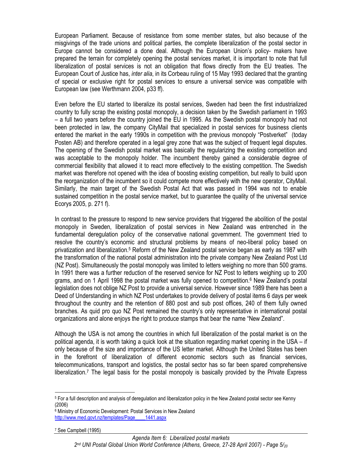European Parliament. Because of resistance from some member states, but also because of the misgivings of the trade unions and political parties, the complete liberalization of the postal sector in Europe cannot be considered a done deal. Although the European Union's policy- makers have prepared the terrain for completely opening the postal services market, it is important to note that full liberalization of postal services is not an obligation that flows directly from the EU treaties. The European Court of Justice has, *inter alia*, in its Corbeau ruling of 15 May 1993 declared that the granting of special or exclusive right for postal services to ensure a universal service was compatible with European law (see Werthmann 2004, p33 ff).

Even before the EU started to liberalize its postal services, Sweden had been the first industrialized country to fully scrap the existing postal monopoly, a decision taken by the Swedish parliament in 1993 – a full two years before the country joined the EU in 1995. As the Swedish postal monopoly had not been protected in law, the company CityMail that specialized in postal services for business clients entered the market in the early 1990s in competition with the previous monopoly "Postverket" (today Posten AB) and therefore operated in a legal grey zone that was the subject of frequent legal disputes. The opening of the Swedish postal market was basically the regularizing the existing competition and was acceptable to the monopoly holder. The incumbent thereby gained a considerable degree of commercial flexibility that allowed it to react more effectively to the existing competition. The Swedish market was therefore not opened with the idea of boosting existing competition, but really to build upon the reorganization of the incumbent so it could compete more effectively with the new operator, CityMail. Similarly, the main target of the Swedish Postal Act that was passed in 1994 was not to enable sustained competition in the postal service market, but to guarantee the quality of the universal service Ecorys 2005, p. 271 f).

In contrast to the pressure to respond to new service providers that triggered the abolition of the postal monopoly in Sweden, liberalization of postal services in New Zealand was entrenched in the fundamental deregulation policy of the conservative national government. The government tried to resolve the country's economic and structural problems by means of neo-liberal policy based on privatization and liberalization.5 Reform of the New Zealand postal service began as early as 1987 with the transformation of the national postal administration into the private company New Zealand Post Ltd (NZ Post). Simultaneously the postal monopoly was limited to letters weighing no more than 500 grams. In 1991 there was a further reduction of the reserved service for NZ Post to letters weighing up to 200 grams, and on 1 April 1998 the postal market was fully opened to competition.6 New Zealand's postal legislation does not oblige NZ Post to provide a universal service. However since 1989 there has been a Deed of Understanding in which NZ Post undertakes to provide delivery of postal items 6 days per week throughout the country and the retention of 880 post and sub post offices, 240 of them fully owned branches. As quid pro quo NZ Post remained the country's only representative in international postal organizations and alone enjoys the right to produce stamps that bear the name "New Zealand".

Although the USA is not among the countries in which full liberalization of the postal market is on the political agenda, it is worth taking a quick look at the situation regarding market opening in the USA – if only because of the size and importance of the US letter market. Although the United States has been in the forefront of liberalization of different economic sectors such as financial services, telecommunications, transport and logistics, the postal sector has so far been spared comprehensive liberalization.7 The legal basis for the postal monopoly is basically provided by the Private Express

 $\overline{\phantom{a}}$ 

<sup>5</sup> For a full description and analysis of deregulation and liberalization policy in the New Zealand postal sector see Kenny (2006)

<sup>6</sup> Ministry of Economic Development: Postal Services in New Zealand http://www.med.govt.nz/templates/Page\_\_\_\_1441.aspx

<sup>7</sup> See Campbell (1995)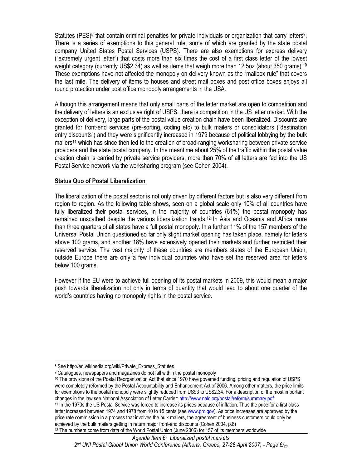Statutes (PES)<sup>8</sup> that contain criminal penalties for private individuals or organization that carry letters<sup>9</sup>. There is a series of exemptions to this general rule, some of which are granted by the state postal company United States Postal Services (USPS). There are also exemptions for express delivery ("extremely urgent letter") that costs more than six times the cost of a first class letter of the lowest weight category (currently US\$2.34) as well as items that weigh more than 12.5oz (about 350 grams).<sup>10</sup> These exemptions have not affected the monopoly on delivery known as the "mailbox rule" that covers the last mile. The delivery of items to houses and street mail boxes and post office boxes enjoys all round protection under post office monopoly arrangements in the USA.

Although this arrangement means that only small parts of the letter market are open to competition and the delivery of letters is an exclusive right of USPS, there is competition in the US letter market. With the exception of delivery, large parts of the postal value creation chain have been liberalized. Discounts are granted for front-end services (pre-sorting, coding etc) to bulk mailers or consolidators ("destination entry discounts") and they were significantly increased in 1979 because of political lobbying by the bulk mailers<sup>11</sup> which has since then led to the creation of broad-ranging worksharing between private service providers and the state postal company. In the meantime about 25% of the traffic within the postal value creation chain is carried by private service providers; more than 70% of all letters are fed into the US Postal Service network via the worksharing program (see Cohen 2004).

#### **Status Quo of Postal Liberalization**

The liberalization of the postal sector is not only driven by different factors but is also very different from region to region. As the following table shows, seen on a global scale only 10% of all countries have fully liberalized their postal services, in the majority of countries (61%) the postal monopoly has remained unscathed despite the various liberalization trends.12 In Asia and Oceania and Africa more than three quarters of all states have a full postal monopoly. In a further 11% of the 157 members of the Universal Postal Union questioned so far only slight market opening has taken place, namely for letters above 100 grams, and another 18% have extensively opened their markets and further restricted their reserved service. The vast majority of these countries are members states of the European Union, outside Europe there are only a few individual countries who have set the reserved area for letters below 100 grams.

However if the EU were to achieve full opening of its postal markets in 2009, this would mean a major push towards liberalization not only in terms of quantity that would lead to about one quarter of the world's countries having no monopoly rights in the postal service.

 $\overline{\phantom{a}}$ 

<sup>12</sup> The numbers come from data of the World Postal Union (June 2006) for 157 of its members worldwide

<sup>8</sup> See http://en.wikipedia.org/wiki/Private\_Express\_Statutes

<sup>9</sup> Catalogues, newspapers and magazines do not fall within the postal monopoly

<sup>10</sup> The provisions of the Postal Reorganization Act that since 1970 have governed funding, pricing and regulation of USPS were completely reformed by the Postal Accountability and Enhancement Act of 2006. Among other matters, the price limits for exemptions to the postal monopoly were slightly reduced from US\$3 to US\$2.34. For a description of the most important changes in the law see National Association of Letter Carrier: http://www.nalc.org/postal/reform/summary.pdf<br><sup>11</sup> In the 1970s the US Postal Service was forced to increase its prices because of inflation. Thus the price fo

letter increased between 1974 and 1978 from 10 to 15 cents (see www.prc.gov). As price increases are approved by the price rate commission in a process that involves the bulk mailers, the agreement of business customers could only be achieved by the bulk mailers getting in return major front-end discounts (Cohen 2004, p.8)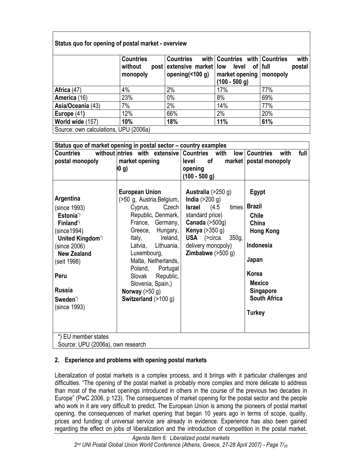# **Status quo for opening of postal market - overview**

|                                       | <b>Countries</b><br>without<br>monopoly | <b>Countries</b><br>post extensive market low level of full<br>opening $($ <100 g) | with   Countries with   Countries<br>  market opening   monopoly<br>$(100 - 500$ g) | with<br>postal |  |  |
|---------------------------------------|-----------------------------------------|------------------------------------------------------------------------------------|-------------------------------------------------------------------------------------|----------------|--|--|
| Africa (47)                           | 4%                                      | 2%                                                                                 | 17%                                                                                 | 77%            |  |  |
| America (16)                          | 23%                                     | $0\%$                                                                              | 8%                                                                                  | 69%            |  |  |
| Asia/Oceania (43)                     | 7%                                      | 2%                                                                                 | 14%                                                                                 | 77%            |  |  |
| Europe $(41)$                         | 12%                                     | 66%                                                                                | 2%                                                                                  | 20%            |  |  |
| World wide (157)                      | 10%                                     | 18%                                                                                | 11%                                                                                 | 61%            |  |  |
| Source: own calculations, UPU (2006a) |                                         |                                                                                    |                                                                                     |                |  |  |

| Status quo of market opening in postal sector – country examples                          |                                         |                               |                                 |  |  |  |  |  |
|-------------------------------------------------------------------------------------------|-----------------------------------------|-------------------------------|---------------------------------|--|--|--|--|--|
| <b>Countries</b>                                                                          | without ntries with extensive Countries | with                          | low   Countries<br>with<br>full |  |  |  |  |  |
| postal monopoly                                                                           | market opening                          | level<br>0f                   | market   postal monopoly        |  |  |  |  |  |
|                                                                                           | 0 g)                                    | opening                       |                                 |  |  |  |  |  |
|                                                                                           |                                         | $(100 - 500 g)$               |                                 |  |  |  |  |  |
|                                                                                           |                                         |                               |                                 |  |  |  |  |  |
|                                                                                           | <b>European Union</b>                   | <b>Australia</b> $(>250 g)$   | Egypt                           |  |  |  |  |  |
| Argentina                                                                                 | (>50 g, Austria, Belgium,               | India $(>200 g)$              |                                 |  |  |  |  |  |
| (since 1993)                                                                              | Cyprus, Czech                           | <b>Israel</b> $(4.5$<br>times | <b>Brazil</b>                   |  |  |  |  |  |
| Estonia <sup>*</sup>                                                                      | Republic, Denmark,                      | standard price)               | <b>Chile</b>                    |  |  |  |  |  |
| Finland <sup>*</sup>                                                                      | France, Germany,                        | Canada $(>500g)$              | China                           |  |  |  |  |  |
| (since 1994)                                                                              | Greece,<br>Hungary,                     | Kenya $(>350 g)$              | <b>Hong Kong</b>                |  |  |  |  |  |
| United Kingdom*)                                                                          | Ireland,<br>Italy,                      | USA (>circa.<br>350g,         |                                 |  |  |  |  |  |
| (since 2006)                                                                              | Latvia, Lithuania,                      | delivery monopoly)            | Indonesia                       |  |  |  |  |  |
| <b>New Zealand</b>                                                                        | Luxembourg,                             | <b>Zimbabwe</b> $(>500 g)$    |                                 |  |  |  |  |  |
| (seit 1998)                                                                               | Malta, Netherlands,                     |                               | Japan                           |  |  |  |  |  |
|                                                                                           | Poland, Portugal                        |                               |                                 |  |  |  |  |  |
| Peru                                                                                      | Republic,<br>Slovak                     |                               | Korea                           |  |  |  |  |  |
|                                                                                           | Slovenia, Spain,)                       |                               | <b>Mexico</b>                   |  |  |  |  |  |
| <b>Russia</b>                                                                             | Norway $(>50 g)$                        |                               | <b>Singapore</b>                |  |  |  |  |  |
| Sweden <sup>*</sup>                                                                       | Switzerland $(>100 g)$                  |                               | <b>South Africa</b>             |  |  |  |  |  |
| (since 1993)                                                                              |                                         |                               |                                 |  |  |  |  |  |
|                                                                                           |                                         |                               | <b>Turkey</b>                   |  |  |  |  |  |
|                                                                                           |                                         |                               |                                 |  |  |  |  |  |
|                                                                                           |                                         |                               |                                 |  |  |  |  |  |
| *) EU member states                                                                       |                                         |                               |                                 |  |  |  |  |  |
| $\Gamma_{\alpha_1,\beta_2}$ , $\Gamma_{\text{D}}$ $\Gamma_{\text{D}}$ $\Gamma_{\text{D}}$ |                                         |                               |                                 |  |  |  |  |  |

Source: UPU (2006a), own research

# **2. Experience and problems with opening postal markets**

Liberalization of postal markets is a complex process, and it brings with it particular challenges and difficulties. "The opening of the postal market is probably more complex and more delicate to address than most of the market openings introduced in others in the course of the previous two decades in Europe" (PwC 2006, p 123). The consequences of market opening for the postal sector and the people who work in it are very difficult to predict. The European Union is among the pioneers of postal market opening, the consequences of market opening that began 10 years ago in terms of scope, quality, prices and funding of universal service are already in evidence. Experience has also been gained regarding the effect on jobs of liberalization and the introduction of competition in the postal market.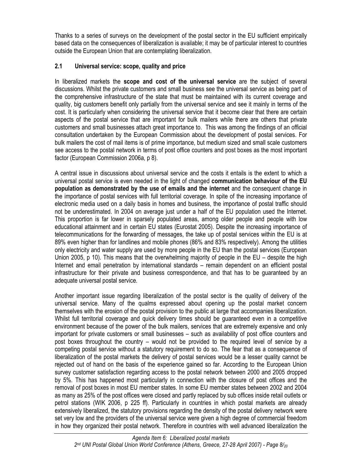Thanks to a series of surveys on the development of the postal sector in the EU sufficient empirically based data on the consequences of liberalization is available; it may be of particular interest to countries outside the European Union that are contemplating liberalization.

# **2.1 Universal service: scope, quality and price**

In liberalized markets the **scope and cost of the universal service** are the subject of several discussions. Whilst the private customers and small business see the universal service as being part of the comprehensive infrastructure of the state that must be maintained with its current coverage and quality, big customers benefit only partially from the universal service and see it mainly in terms of the cost. It is particularly when considering the universal service that it become clear that there are certain aspects of the postal service that are important for bulk mailers while there are others that private customers and small businesses attach great importance to. This was among the findings of an official consultation undertaken by the European Commission about the development of postal services. For bulk mailers the cost of mail items is of prime importance, but medium sized and small scale customers see access to the postal network in terms of post office counters and post boxes as the most important factor (European Commission 2006a, p 8).

A central issue in discussions about universal service and the costs it entails is the extent to which a universal postal service is even needed in the light of changed **communication behaviour of the EU population as demonstrated by the use of emails and the internet** and the consequent change in the importance of postal services with full territorial coverage. In spite of the increasing importance of electronic media used on a daily basis in homes and business, the importance of postal traffic should not be underestimated. In 2004 on average just under a half of the EU population used the Internet. This proportion is far lower in sparsely populated areas, among older people and people with low educational attainment and in certain EU states (Eurostat 2005). Despite the increasing importance of telecommunications for the forwarding of messages, the take up of postal services within the EU is at 89% even higher than for landlines and mobile phones (86% and 83% respectively). Among the utilities only electricity and water supply are used by more people in the EU than the postal services (European Union 2005, p 10). This means that the overwhelming majority of people in the EU – despite the high Internet and email penetration by international standards – remain dependent on an efficient postal infrastructure for their private and business correspondence, and that has to be guaranteed by an adequate universal postal service.

Another important issue regarding liberalization of the postal sector is the quality of delivery of the universal service. Many of the qualms expressed about opening up the postal market concern themselves with the erosion of the postal provision to the public at large that accompanies liberalization. Whilst full territorial coverage and quick delivery times should be guaranteed even in a competitive environment because of the power of the bulk mailers, services that are extremely expensive and only important for private customers or small businesses – such as availability of post office counters and post boxes throughout the country – would not be provided to the required level of service by a competing postal service without a statutory requirement to do so. The fear that as a consequence of liberalization of the postal markets the delivery of postal services would be a lesser quality cannot be rejected out of hand on the basis of the experience gained so far. According to the European Union survey customer satisfaction regarding access to the postal network between 2000 and 2005 dropped by 5%. This has happened most particularly in connection with the closure of post offices and the removal of post boxes in most EU member states. In some EU member states between 2002 and 2004 as many as 25% of the post offices were closed and partly replaced by sub offices inside retail outlets or petrol stations (WIK 2006, p 225 ff). Particularly in countries in which postal markets are already extensively liberalized, the statutory provisions regarding the density of the postal delivery network were set very low and the providers of the universal service were given a high degree of commercial freedom in how they organized their postal network. Therefore in countries with well advanced liberalization the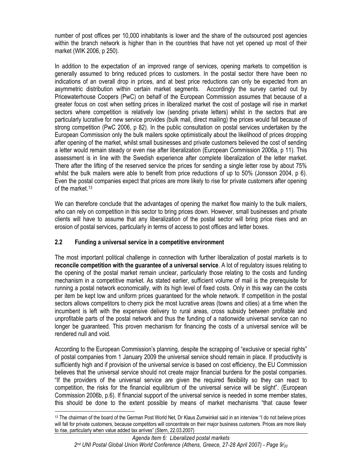number of post offices per 10,000 inhabitants is lower and the share of the outsourced post agencies within the branch network is higher than in the countries that have not yet opened up most of their market (WIK 2006, p 250).

In addition to the expectation of an improved range of services, opening markets to competition is generally assumed to bring reduced prices to customers. In the postal sector there have been no indications of an overall drop in prices, and at best price reductions can only be expected from an asymmetric distribution within certain market segments. Accordingly the survey carried out by Pricewaterhouse Coopers (PwC) on behalf of the European Commission assumes that because of a greater focus on cost when setting prices in liberalized market the cost of postage will rise in market sectors where competition is relatively low (sending private letters) whilst in the sectors that are particularly lucrative for new service provides (bulk mail, direct mailing) the prices would fall because of strong competition (PwC 2006, p 82). In the public consultation on postal services undertaken by the European Commission only the bulk mailers spoke optimistically about the likelihood of prices dropping after opening of the market, whilst small businesses and private customers believed the cost of sending a letter would remain steady or even rise after liberalization (European Commission 2006a, p 11). This assessment is in line with the Swedish experience after complete liberalization of the letter market. There after the lifting of the reserved service the prices for sending a single letter rose by about 75% whilst the bulk mailers were able to benefit from price reductions of up to 50% (Jonsson 2004, p 6). Even the postal companies expect that prices are more likely to rise for private customers after opening of the market.13

We can therefore conclude that the advantages of opening the market flow mainly to the bulk mailers, who can rely on competition in this sector to bring prices down. However, small businesses and private clients will have to assume that any liberalization of the postal sector will bring price rises and an erosion of postal services, particularly in terms of access to post offices and letter boxes.

# **2.2 Funding a universal service in a competitive environment**

The most important political challenge in connection with further liberalization of postal markets is to **reconcile competition with the guarantee of a universal service**. A lot of regulatory issues relating to the opening of the postal market remain unclear, particularly those relating to the costs and funding mechanism in a competitive market. As stated earlier, sufficient volume of mail is the prerequisite for running a postal network economically, with its high level of fixed costs. Only in this way can the costs per item be kept low and uniform prices guaranteed for the whole network. If competition in the postal sectors allows competitors to cherry pick the most lucrative areas (towns and cities) at a time when the incumbent is left with the expensive delivery to rural areas, cross subsidy between profitable and unprofitable parts of the postal network and thus the funding of a nationwide universal service can no longer be guaranteed. This proven mechanism for financing the costs of a universal service will be rendered null and void.

According to the European Commission's planning, despite the scrapping of "exclusive or special rights" of postal companies from 1 January 2009 the universal service should remain in place. If productivity is sufficiently high and if provision of the universal service is based on cost efficiency, the EU Commission believes that the universal service should not create major financial burdens for the postal companies. "If the providers of the universal service are given the required flexibility so they can react to competition, the risks for the financial equilibrium of the universal service will be slight". (European Commission 2006b, p.6). If financial support of the universal service is needed in some member states, this should be done to the extent possible by means of market mechanisms "that cause fewer

<sup>13</sup> The chairman of the board of the German Post World Net, Dr Klaus Zumwinkel said in an interview "I do not believe prices will fall for private customers, because competitors will concentrate on their major business customers. Prices are more likely to rise, particularly when value added tax arrives" (Stern, 22.03.2007)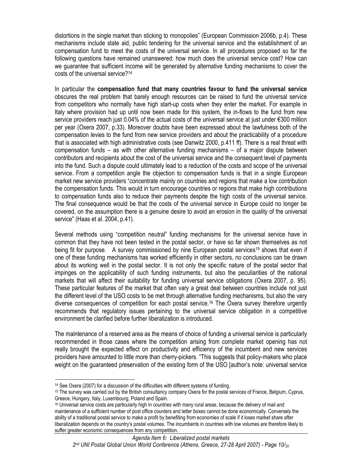distortions in the single market than sticking to monopolies" (European Commission 2006b, p.4). These mechanisms include state aid, public tendering for the universal service and the establishment of an compensation fund to meet the costs of the universal service. In all procedures proposed so far the following questions have remained unanswered: how much does the universal service cost? How can we guarantee that sufficient income will be generated by alternative funding mechanisms to cover the costs of the universal service?14

In particular the **compensation fund that many countries favour to fund the universal service** obscures the real problem that barely enough resources can be raised to fund the universal service from competitors who normally have high start-up costs when they enter the market. For example in Italy where provision had up until now been made for this system, the in-flows to the fund from new service providers reach just 0.04% of the actual costs of the universal service at just under €300 million per year (Oxera 2007, p.33). Moreover doubts have been expressed about the lawfulness both of the compensation levies to the fund from new service providers and about the practicability of a procedure that is associated with high administrative costs (see Danwitz 2000, p.411 ff). There is a real threat with compensation funds – as with other alternative funding mechanisms – of a major dispute between contributors and recipients about the cost of the universal service and the consequent level of payments into the fund. Such a dispute could ultimately lead to a reduction of the costs and scope of the universal service. From a competition angle the objection to compensation funds is that in a single European market new service providers "concentrate mainly on countries and regions that make a low contribution the compensation funds. This would in turn encourage countries or regions that make high contributions to compensation funds also to reduce their payments despite the high costs of the universal service. The final consequence would be that the costs of the universal service in Europe could no longer be covered, on the assumption there is a genuine desire to avoid an erosion in the quality of the universal service" (Haas et al. 2004, p.41).

Several methods using "competition neutral" funding mechanisms for the universal service have in common that they have not been tested in the postal sector, or have so far shown themselves as not being fit for purpose. A survey commissioned by nine European postal services<sup>15</sup> shows that even if one of these funding mechanisms has worked efficiently in other sectors, no conclusions can be drawn about its working well in the postal sector. It is not only the specific nature of the postal sector that impinges on the applicability of such funding instruments, but also the peculiarities of the national markets that will affect their suitability for funding universal service obligations (Oxera 2007, p. 95). These particular features of the market that often vary a great deal between countries include not just the different level of the USO costs to be met through alternative funding mechanisms, but also the very diverse consequences of competition for each postal service.16 The Oxera survey therefore urgently recommends that regulatory issues pertaining to the universal service obligation in a competitive environment be clarified before further liberalization is introduced.

The maintenance of a reserved area as the means of choice of funding a universal service is particularly recommended in those cases where the competition arising from complete market opening has not really brought the expected effect on productivity and efficiency of the incumbent and new services providers have amounted to little more than cherry-pickers. "This suggests that policy-makers who place weight on the guaranteed preservation of the existing form of the USO [author's note: universal service

<sup>&</sup>lt;sup>14</sup> See Oxera (2007) for a discussion of the difficulties with different systems of funding.<br><sup>15</sup> The survey was carried out by the British consultancy company Oxera for the postal services of France, Belgium, Cyprus, Greece, Hungary, Italy, Luxembourg, Poland and Spain.

<sup>&</sup>lt;sup>16</sup> Universal service costs are particularly high in countries with many rural areas, because the delivery of mail and maintenance of a sufficient number of post office counters and letter boxes cannot be done economically. Conversely the ability of a traditional postal service to make a profit by benefiting from economies of scale if it loses market share after liberalization depends on the country's postal volumes. The incumbents in countries with low volumes are therefore likely to suffer greater economic consequences from any competition.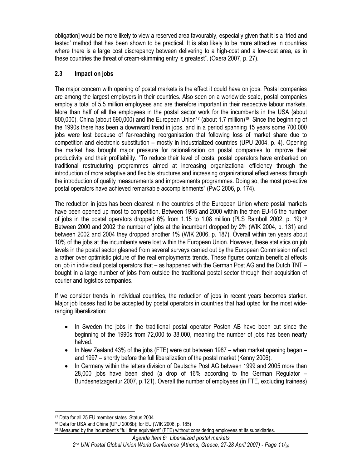obligation] would be more likely to view a reserved area favourably, especially given that it is a 'tried and tested' method that has been shown to be practical. It is also likely to be more attractive in countries where there is a large cost discrepancy between delivering to a high-cost and a low-cost area, as in these countries the threat of cream-skimming entry is greatest". (Oxera 2007, p. 27).

# **2.3 Impact on jobs**

The major concern with opening of postal markets is the effect it could have on jobs. Postal companies are among the largest employers in their countries. Also seen on a worldwide scale, postal companies employ a total of 5.5 million employees and are therefore important in their respective labour markets. More than half of all the employees in the postal sector work for the incumbents in the USA (about 800,000), China (about 690,000) and the European Union17 (about 1.7 million)18. Since the beginning of the 1990s there has been a downward trend in jobs, and in a period spanning 15 years some 700,000 jobs were lost because of far-reaching reorganisation that following loss of market share due to competition and electronic substitution – mostly in industrialized countries (UPU 2004, p. 4). Opening the market has brought major pressure for rationalization on postal companies to improve their productivity and their profitability. "To reduce their level of costs, postal operators have embarked on traditional restructuring programmes aimed at increasing organizational efficiency through the introduction of more adaptive and flexible structures and increasing organizational effectiveness through the introduction of quality measurements and improvements programmes. Doing so, the most pro-active postal operators have achieved remarkable accomplishments" (PwC 2006, p. 174).

The reduction in jobs has been clearest in the countries of the European Union where postal markets have been opened up most to competition. Between 1995 and 2000 within the then EU-15 the number of jobs in the postal operators dropped 6% from 1.15 to 1.08 million (PLS Ramboll 2002, p. 19).19 Between 2000 and 2002 the number of jobs at the incumbent dropped by 2% (WIK 2004, p. 131) and between 2002 and 2004 they dropped another 1% (WIK 2006, p. 187). Overall within ten years about 10% of the jobs at the incumbents were lost within the European Union. However, these statistics on job levels in the postal sector gleaned from several surveys carried out by the European Commission reflect a rather over optimistic picture of the real employments trends. These figures contain beneficial effects on job in individiaul postal operators that – as happened with the German Post AG and the Dutch TNT – bought in a large number of jobs from outside the traditional postal sector through their acquisition of courier and logistics companies.

If we consider trends in individual countries, the reduction of jobs in recent years becomes starker. Major job losses had to be accepted by postal operators in countries that had opted for the most wideranging liberalization:

- In Sweden the jobs in the traditional postal operator Posten AB have been cut since the beginning of the 1990s from 72,000 to 38,000, meaning the number of jobs has been nearly halved.
- In New Zealand 43% of the jobs (FTE) were cut between 1987 when market opening began and 1997 – shortly before the full liberalization of the postal market (Kenny 2006).
- In Germany within the letters division of Deutsche Post AG between 1999 and 2005 more than 28,000 jobs have been shed (a drop of 16% according to the German Regulator – Bundesnetzagentur 2007, p.121). Overall the number of employees (in FTE, excluding trainees)

 17 Data for all 25 EU member states. Status 2004

<sup>18</sup> Data for USA and China (UPU 2006b); for EU (WIK 2006, p. 185)

<sup>19</sup> Measured by the incumbent's "full time equivalent" (FTE) without considering employees at its subsidiaries.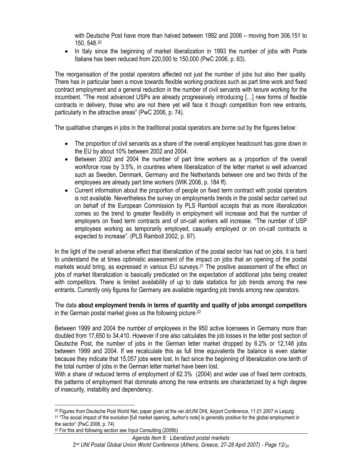with Deutsche Post have more than halved between 1992 and 2006 – moving from 306,151 to 150, 548.20

• In Italy since the beginning of market liberalization in 1993 the number of jobs with Poste Italiane has been reduced from 220,000 to 150,000 (PwC 2006, p. 63).

The reorganisation of the postal operators affected not just the number of jobs but also their quality. There has in particular been a move towards flexible working practices such as part time work and fixed contract employment and a general reduction in the number of civil servants with tenure working for the incumbent. "The most advanced USPs are already progressively introducing […] new forms of flexible contracts in delivery, those who are not there yet will face it though competition from new entrants, particularly in the attractive areas" (PwC 2006, p. 74).

The qualitative changes in jobs in the traditional postal operators are borne out by the figures below:

- The proportion of civil servants as a share of the overall employee headcount has gone down in the EU by about 10% between 2002 and 2004.
- Between 2002 and 2004 the number of part time workers as a proportion of the overall workforce rose by 3.5%, in countries where liberalization of the letter market is well advanced such as Sweden, Denmark, Germany and the Netherlands between one and two thirds of the employees are already part time workers (WIK 2006, p. 184 ff).
- Current information about the proportion of people on fixed term contract with postal operators is not available. Nevertheless the survey on employments trends in the postal sector carried out on behalf of the European Commission by PLS Ramboll accepts that as more liberalization comes so the trend to greater flexibility in employment will increase and that the number of employers on fixed term contracts and of on-call workers will increase. "The number of USP employees working as temporarily employed, casually employed or on on-call contracts is expected to increase". (PLS Ramboll 2002, p. 97).

In the light of the overall adverse effect that liberalization of the postal sector has had on jobs, it is hard to understand the at times optimistic assessment of the impact on jobs that an opening of the postal markets would bring, as expressed in various EU surveys.<sup>21</sup> The positive assessment of the effect on jobs of market liberalization is basically predicated on the expectation of additional jobs being created with competitors. There is limited availability of up to date statistics for job trends among the new entrants. Currently only figures for Germany are available regarding job trends among new operators.

The data **about employment trends in terms of quantity and quality of jobs amongst competitors** in the German postal market gives us the following picture:22

Between 1999 and 2004 the number of employees in the 950 active licensees in Germany more than doubled from 17,650 to 34,410. However if one also calculates the job losses in the letter post section of Deutsche Post, the number of jobs in the German letter market dropped by 6.2% or 12,148 jobs between 1999 and 2004. If we recalculate this as full time equivalents the balance is even starker because they indicate that 15,057 jobs were lost. In fact since the beginning of liberalization one tenth of the total number of jobs in the German letter market have been lost.

With a share of reduced terms of employment of 62.3% (2004) and wider use of fixed term contracts, the patterns of employment that dominate among the new entrants are characterized by a high degree of insecurity, instability and dependency.

 $\overline{\phantom{a}}$ 20 Figures from Deutsche Post World Net, paper given at the ver.di/UNI DHL Airport Conference, 11.01.2007 in Leipzig <sup>21</sup> "The social impact of the evolution [full market opening, author's note] is generally positive for the global employment in the sector" (PwC 2006, p. 74) 22 For this and following section see Input Consulting (2006b)

*Agenda Item 6: Liberalized postal markets 2nd UNI Postal Global Union World Conference (Athens, Greece, 27-28 April 2007) - Page 12/20*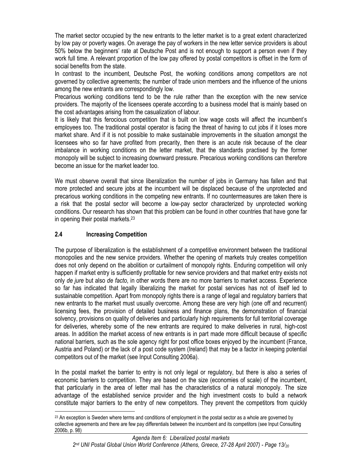The market sector occupied by the new entrants to the letter market is to a great extent characterized by low pay or poverty wages. On average the pay of workers in the new letter service providers is about 50% below the beginners' rate at Deutsche Post and is not enough to support a person even if they work full time. A relevant proportion of the low pay offered by postal competitors is offset in the form of social benefits from the state.

In contrast to the incumbent, Deutsche Post, the working conditions among competitors are not governed by collective agreements; the number of trade union members and the influence of the unions among the new entrants are correspondingly low.

Precarious working conditions tend to be the rule rather than the exception with the new service providers. The majority of the licensees operate according to a business model that is mainly based on the cost advantages arising from the casualization of labour.

It is likely that this ferocious competition that is built on low wage costs will affect the incumbent's employees too. The traditional postal operator is facing the threat of having to cut jobs if it loses more market share. And if it is not possible to make sustainable improvements in the situation amongst the licensees who so far have profited from precarity, then there is an acute risk because of the clear imbalance in working conditions on the letter market, that the standards practised by the former monopoly will be subject to increasing downward pressure. Precarious working conditions can therefore become an issue for the market leader too.

We must observe overall that since liberalization the number of jobs in Germany has fallen and that more protected and secure jobs at the incumbent will be displaced because of the unprotected and precarious working conditions in the competing new entrants. If no countermeasures are taken there is a risk that the postal sector will become a low-pay sector characterized by unprotected working conditions. Our research has shown that this problem can be found in other countries that have gone far in opening their postal markets.23

# **2.4 Increasing Competition**

The purpose of liberalization is the establishment of a competitive environment between the traditional monopolies and the new service providers. Whether the opening of markets truly creates competition does not only depend on the abolition or curtailment of monopoly rights. Enduring competition will only happen if market entry is sufficiently profitable for new service providers and that market entry exists not only *de jure* but also *de facto*, in other words there are no more barriers to market access. Experience so far has indicated that legally liberalizing the market for postal services has not of itself led to sustainable competition. Apart from monopoly rights there is a range of legal and regulatory barriers that new entrants to the market must usually overcome. Among these are very high (one off and recurrent) licensing fees, the provision of detailed business and finance plans, the demonstration of financial solvency, provisions on quality of deliveries and particularly high requirements for full territorial coverage for deliveries, whereby some of the new entrants are required to make deliveries in rural, high-cost areas. In addition the market access of new entrants is in part made more difficult because of specific national barriers, such as the sole agency right for post office boxes enjoyed by the incumbent (France, Austria and Poland) or the lack of a post code system (Ireland) that may be a factor in keeping potential competitors out of the market (see Input Consulting 2006a).

In the postal market the barrier to entry is not only legal or regulatory, but there is also a series of economic barriers to competition. They are based on the size (economies of scale) of the incumbent, that particularly in the area of letter mail has the characteristics of a natural monopoly. The size advantage of the established service provider and the high investment costs to build a network constitute major barriers to the entry of new competitors. They prevent the competitors from quickly

 <sup>23</sup> An exception is Sweden where terms and conditions of employment in the postal sector as a whole are governed by collective agreements and there are few pay differentials between the incumbent and its competitors (see Input Consulting 2006b, p. 98)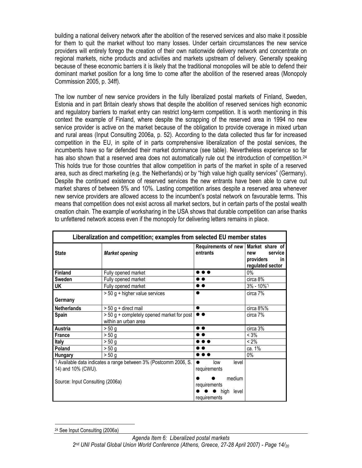building a national delivery network after the abolition of the reserved services and also make it possible for them to quit the market without too many losses. Under certain circumstances the new service providers will entirely forego the creation of their own nationwide delivery network and concentrate on regional markets, niche products and activities and markets upstream of delivery. Generally speaking because of these economic barriers it is likely that the traditional monopolies will be able to defend their dominant market position for a long time to come after the abolition of the reserved areas (Monopoly Commission 2005, p. 34ff).

The low number of new service providers in the fully liberalized postal markets of Finland, Sweden, Estonia and in part Britain clearly shows that despite the abolition of reserved services high economic and regulatory barriers to market entry can restrict long-term competition. It is worth mentioning in this context the example of Finland, where despite the scrapping of the reserved area in 1994 no new service provider is active on the market because of the obligation to provide coverage in mixed urban and rural areas (Input Consulting 2006a, p. 52). According to the data collected thus far for increased competition in the EU, in spite of in parts comprehensive liberalization of the postal services, the incumbents have so far defended their market dominance (see table). Nevertheless experience so far has also shown that a reserved area does not automatically rule out the introduction of competition.<sup>24</sup> This holds true for those countries that allow competition in parts of the market in spite of a reserved area, such as direct marketing (e.g. the Netherlands) or by "high value high quality services" (Germany). Despite the continued existence of reserved services the new entrants have been able to carve out market shares of between 5% and 10%. Lasting competition arises despite a reserved area whenever new service providers are allowed access to the incumbent's postal network on favourable terms. This means that competition does not exist across all market sectors, but in certain parts of the postal wealth creation chain. The example of worksharing in the USA shows that durable competition can arise thanks to unfettered network access even if the monopoly for delivering letters remains in place.

| Liberalization and competition; examples from selected EU member states                                                     |                                                                    |                                                                                         |                                                        |  |  |
|-----------------------------------------------------------------------------------------------------------------------------|--------------------------------------------------------------------|-----------------------------------------------------------------------------------------|--------------------------------------------------------|--|--|
| <b>State</b>                                                                                                                | <b>Market opening</b>                                              | Requirements of new   Market share of<br>entrants                                       | service<br>new<br>providers<br>in.<br>regulated sector |  |  |
| <b>Finland</b>                                                                                                              | Fully opened market                                                | $\bullet\bullet\bullet$                                                                 | $0\%$                                                  |  |  |
| Sweden                                                                                                                      | Fully opened market                                                | $\bullet$ $\bullet$                                                                     | circa 8%                                               |  |  |
| UK                                                                                                                          | Fully opened market                                                | $\bullet$                                                                               | $3\% - 10\%$ <sup>*</sup>                              |  |  |
|                                                                                                                             | > 50 g + higher value services                                     | $\bullet$                                                                               | circa 7%                                               |  |  |
| Germany                                                                                                                     |                                                                    |                                                                                         |                                                        |  |  |
| <b>Netherlands</b>                                                                                                          | > 50 g + direct mail                                               | $\bullet$                                                                               | circa 8%%                                              |  |  |
| <b>Spain</b>                                                                                                                | > 50 g + completely opened market for post<br>within an urban area | $\bullet$                                                                               | circa 7%                                               |  |  |
| <b>Austria</b>                                                                                                              | > 50 g                                                             | $\bullet$                                                                               | circa 3%                                               |  |  |
| <b>France</b>                                                                                                               | > 50 g                                                             | $\bullet$ $\bullet$                                                                     | $< 3\%$                                                |  |  |
| Italy                                                                                                                       | > 50 g                                                             | $\bullet\bullet\bullet$                                                                 | $< 2\%$                                                |  |  |
| Poland                                                                                                                      | > 50 g                                                             | $\bullet\bullet$                                                                        | ca. 1%                                                 |  |  |
| <b>Hungary</b>                                                                                                              | > 50 g                                                             | $\bullet$ $\bullet$ $\bullet$                                                           | $0\%$                                                  |  |  |
| *) Available data indicates a range between 3% (Postcomm 2006, S.<br>14) and 10% (CWU).<br>Source: Input Consulting (2006a) |                                                                    | low<br>level<br>requirements<br>medium<br>requirements<br>high<br>level<br>requirements |                                                        |  |  |

 $\overline{\phantom{a}}$ 24 See Input Consulting (2006a)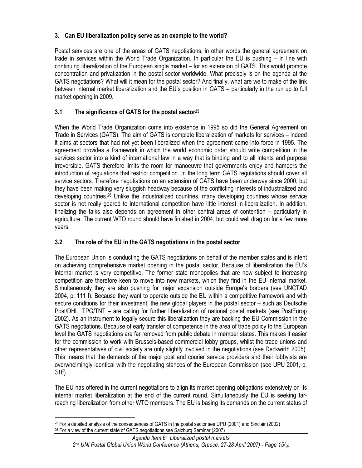# **3. Can EU liberalization policy serve as an example to the world?**

Postal services are one of the areas of GATS negotiations, in other words the general agreement on trade in services within the World Trade Organization. In particular the EU is pushing – in line with continuing liberalization of the European single market – for an extension of GATS. This would promote concentration and privatization in the postal sector worldwide. What precisely is on the agenda at the GATS negotiations? What will it mean for the postal sector? And finally, what are we to make of the link between internal market liberalization and the EU's position in GATS – particularly in the run up to full market opening in 2009.

# **3.1 The significance of GATS for the postal sector25**

When the World Trade Organization come into existence in 1995 so did the General Agreement on Trade in Services (GATS). The aim of GATS is complete liberalization of markets for services – indeed it aims at sectors that had not yet been liberalized when the agreement came into force in 1995. The agreement provides a framework in which the world economic order should write competition in the services sector into a kind of international law in a way that is binding and to all intents and purpose irreversible. GATS therefore limits the room for manoeuvre that governments enjoy and hampers the introduction of regulations that restrict competition. In the long term GATS regulations should cover all service sectors. Therefore negotiations on an extension of GATS have been underway since 2000, but they have been making very sluggish headway because of the conflicting interests of industrialized and developing countries.26 Unlike the industrialized countries, many developing countries whose service sector is not really geared to international competition have little interest in liberalization. In addition, finalizing the talks also depends on agreement in other central areas of contention – particularly in agriculture. The current WTO round should have finished in 2004, but could well drag on for a few more years.

# **3.2 The role of the EU in the GATS negotiations in the postal sector**

The European Union is conducting the GATS negotiations on behalf of the member states and is intent on achieving comprehensive market opening in the postal sector. Because of liberalization the EU's internal market is very competitive. The former state monopolies that are now subject to increasing competition are therefore keen to move into new markets, which they find in the EU internal market. Simultaneously they are also pushing for major expansion outside Europe's borders (see UNCTAD 2004, p. 111 f). Because they want to operate outside the EU within a competitive framework and with secure conditions for their investment, the new global players in the postal sector – such as Deutsche Post/DHL, TPG/TNT – are calling for further liberalization of national postal markets (see PostEurop 2002). As an instrument to legally secure this liberalization they are backing the EU Commission in the GATS negotiations. Because of early transfer of competence in the area of trade policy to the European level the GATS negotiations are far removed from public debate in member states. This makes it easier for the commission to work with Brussels-based commercial lobby groups, whilst the trade unions and other representatives of civil society are only slightly involved in the negotiations (see Deckwirth 2005). This means that the demands of the major post and courier service providers and their lobbyists are overwhelmingly identical with the negotiating stances of the European Commission (see UPU 2001, p. 31ff).

The EU has offered in the current negotiations to align its market opening obligations extensively on its internal market liberalization at the end of the current round. Simultaneously the EU is seeking farreaching liberalization from other WTO members. The EU is basing its demands on the current status of

 $\overline{\phantom{a}}$ 25 For a detailed analysis of the consequences of GATS in the postal sector see UPU (2001) and Sinclair (2002) <sup>26</sup> For a view of the current state of GATS negotiations see Salzburg Seminar (2007)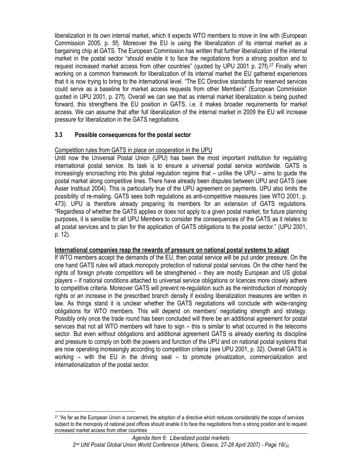liberalization in its own internal market, which it expects WTO members to move in line with (European Commission 2005, p. 5f). Moreover the EU is using the liberalization of its internal market as a bargaining chip at GATS. The European Commission has written that further liberalization of the internal market in the postal sector "should enable it to face the negotiations from a strong position and to request increased market access from other countries" (quoted by UPU 2001 p. 27f).<sup>27</sup> Finally when working on a common framework for liberalization of its internal market the EU gathered experiences that it is now trying to bring to the international level. "The EC Directive standards for reserved services could serve as a baseline for market access requests from other Members" (European Commission quoted in UPU 2001, p. 27f). Overall we can see that as internal market liberalization is being pushed forward, this strengthens the EU position in GATS, i.e. it makes broader requirements for market access. We can assume that after full liberalization of the internal market in 2009 the EU will increase pressure for liberalization in the GATS negotiations.

# **3.3 Possible consequences for the postal sector**

## Competition rules from GATS in place on cooperation in the UPU

Until now the Universal Postal Union (UPU) has been the most important institution for regulating international postal service. Its task is to ensure a universal postal service worldwide. GATS is increasingly encroaching into this global regulation regime that – unlike the UPU – aims to guide the postal market along competitive lines. There have already been disputes between UPU and GATS (see Asser Instituut 2004). This is particularly true of the UPU agreement on payments. UPU also limits the possibility of re-mailing. GATS sees both regulations as anti-competitive measures (see WTO 2001, p. 473). UPU is therefore already preparing its members for an extension of GATS regulations. "Regardless of whether the GATS applies or does not apply to a given postal market, for future planning purposes, it is sensible for all UPU Members to consider the consequences of the GATS as it relates to all postal services and to plan for the application of GATS obligations to the postal sector." (UPU 2001, p. 12).

#### **International companies reap the rewards of pressure on national postal systems to adapt**

If WTO members accept the demands of the EU, then postal service will be put under pressure. On the one hand GATS rules will attack monopoly protection of national postal services. On the other hand the rights of foreign private competitors will be strengthened – they are mostly European and US global players – if national conditions attached to universal service obligations or licences more closely adhere to competitive criteria. Moreover GATS will prevent re-regulation such as the reintroduction of monopoly rights or an increase in the prescribed branch density if existing liberalization measures are written in law. As things stand it is unclear whether the GATS negotiations will conclude with wide-ranging obligations for WTO members. This will depend on members' negotiating strength and strategy. Possibly only once the trade round has been concluded will there be an additional agreement for postal services that not all WTO members will have to sign – this is similar to what occurred in the telecoms sector. But even without obligations and additional agreement GATS is already exerting its discipline and pressure to comply on both the powers and function of the UPU and on national postal systems that are now operating increasingly according to competition criteria (see UPU 2001, p. 32). Overall GATS is working – with the EU in the driving seat – to promote privatization, commercialization and internationalization of the postal sector.

 <sup>27</sup> "As far as the European Union is concerned, the adoption of a directive which reduces considerably the scope of services subject to the monopoly of national post offices should enable it to face the negotiations from a strong position and to request increased market access from other countries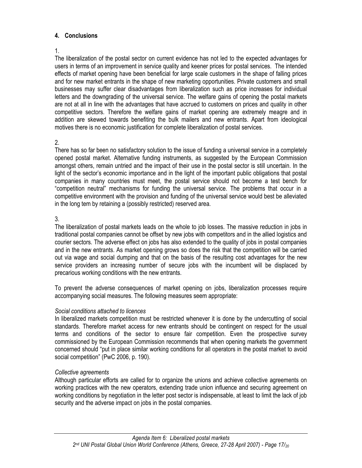## **4. Conclusions**

#### 1.

The liberalization of the postal sector on current evidence has not led to the expected advantages for users in terms of an improvement in service quality and keener prices for postal services. The intended effects of market opening have been beneficial for large scale customers in the shape of falling prices and for new market entrants in the shape of new marketing opportunities. Private customers and small businesses may suffer clear disadvantages from liberalization such as price increases for individual letters and the downgrading of the universal service. The welfare gains of opening the postal markets are not at all in line with the advantages that have accrued to customers on prices and quality in other competitive sectors. Therefore the welfare gains of market opening are extremely meagre and in addition are skewed towards benefiting the bulk mailers and new entrants. Apart from ideological motives there is no economic justification for complete liberalization of postal services.

#### 2.

There has so far been no satisfactory solution to the issue of funding a universal service in a completely opened postal market. Alternative funding instruments, as suggested by the European Commission amongst others, remain untried and the impact of their use in the postal sector is still uncertain. In the light of the sector's economic importance and in the light of the important public obligations that postal companies in many countries must meet, the postal service should not become a test bench for "competition neutral" mechanisms for funding the universal service. The problems that occur in a competitive environment with the provision and funding of the universal service would best be alleviated in the long tem by retaining a (possibly restricted) reserved area.

## 3.

The liberalization of postal markets leads on the whole to job losses. The massive reduction in jobs in traditional postal companies cannot be offset by new jobs with competitors and in the allied logistics and courier sectors. The adverse effect on jobs has also extended to the quality of jobs in postal companies and in the new entrants. As market opening grows so does the risk that the competition will be carried out via wage and social dumping and that on the basis of the resulting cost advantages for the new service providers an increasing number of secure jobs with the incumbent will be displaced by precarious working conditions with the new entrants.

To prevent the adverse consequences of market opening on jobs, liberalization processes require accompanying social measures. The following measures seem appropriate:

# *Social conditions attached to licences*

In liberalized markets competition must be restricted whenever it is done by the undercutting of social standards. Therefore market access for new entrants should be contingent on respect for the usual terms and conditions of the sector to ensure fair competition. Even the prospective survey commissioned by the European Commission recommends that when opening markets the government concerned should "put in place similar working conditions for all operators in the postal market to avoid social competition" (PwC 2006, p. 190).

# *Collective agreements*

Although particular efforts are called for to organize the unions and achieve collective agreements on working practices with the new operators, extending trade union influence and securing agreement on working conditions by negotiation in the letter post sector is indispensable, at least to limit the lack of job security and the adverse impact on jobs in the postal companies.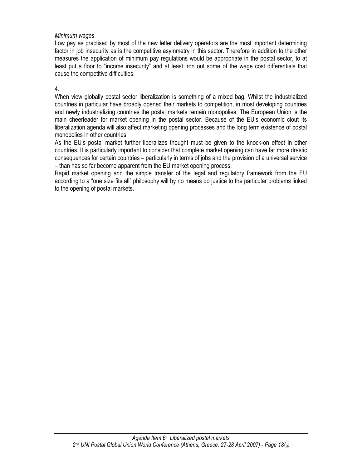#### *Minimum wages*

Low pay as practised by most of the new letter delivery operators are the most important determining factor in job insecurity as is the competitive asymmetry in this sector. Therefore in addition to the other measures the application of minimum pay regulations would be appropriate in the postal sector, to at least put a floor to "income insecurity" and at least iron out some of the wage cost differentials that cause the competitive difficulties.

## 4.

When view globally postal sector liberalization is something of a mixed bag. Whilst the industrialized countries in particular have broadly opened their markets to competition, in most developing countries and newly industrializing countries the postal markets remain monopolies. The European Union is the main cheerleader for market opening in the postal sector. Because of the EU's economic clout its liberalization agenda will also affect marketing opening processes and the long term existence of postal monopolies in other countries.

As the EU's postal market further liberalizes thought must be given to the knock-on effect in other countries. It is particularly important to consider that complete market opening can have far more drastic consequences for certain countries – particularly in terms of jobs and the provision of a universal service – than has so far become apparent from the EU market opening process.

Rapid market opening and the simple transfer of the legal and regulatory framework from the EU according to a "one size fits all" philosophy will by no means do justice to the particular problems linked to the opening of postal markets.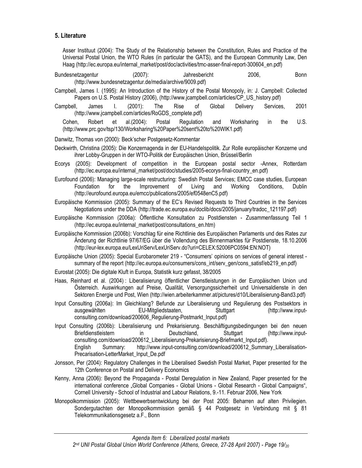## **5. Literature**

Asser Instituut (2004): The Study of the Relationship between the Constitution, Rules and Practice of the Universal Postal Union, the WTO Rules (in particular the GATS), and the European Community Law, Den Haag (http://ec.europa.eu/internal\_market/post/doc/activities/tmc-asser-final-report-300604\_en.pdf)

- Bundesnetzagentur (2007): Jahresbericht 2006, Bonn (http://www.bundesnetzagentur.de/media/archive/9009.pdf)
- Campbell, James I. (1995): An Introduction of the History of the Postal Monopoly, in: J. Campbell: Collected Papers on U.S. Postal History (2006), (http://www.jcampbell.com/articles/CP\_US\_history.pdf)
- Campbell, James I. (2001): The Rise of Global Delivery Services, 2001 (http://www.jcampbell.com/articles/RoGDS\_complete.pdf)

Cohen, Robert et al.(2004): Postal Regulation and Worksharing in the U.S. (http://www.prc.gov/tsp/130/Worksharing%20Paper%20sent%20to%20WIK1.pdf)

- Danwitz, Thomas von (2000): Beck'scher Postgesetz-Kommentar
- Deckwirth, Christina (2005): Die Konzernagenda in der EU-Handelspolitik. Zur Rolle europäischer Konzerne und ihrer Lobby-Gruppen in der WTO-Politik der Europäischen Union, Brüssel/Berlin
- Ecorys (2005): Development of competition in the European postal sector -Annex, Rotterdam (http://ec.europa.eu/internal\_market/post/doc/studies/2005-ecorys-final-country\_en.pdf)
- Eurofound (2006): Managing large-scale restructuring: Swedish Postal Services; EMCC case studies, European Foundation for the Improvement of Living and Working Conditions, Dublin (http://eurofound.europa.eu/emcc/publications/2005/ef0548enC5.pdf)
- Europäische Kommission (2005): Summary of the EC's Revised Requests to Third Countries in the Services Negotiations under the DDA (http://trade.ec.europa.eu/doclib/docs/2005/january/tradoc\_121197.pdf)
- Europäische Kommission (2006a): Öffentliche Konsultation zu Postdiensten Zusammenfassung Teil 1 (http://ec.europa.eu/internal\_market/post/consultations\_en.htm)
- Europäische Kommission (2006b): Vorschlag für eine Richtlinie des Europäischen Parlaments und des Rates zur Änderung der Richtlinie 97/67/EG über die Vollendung des Binnenmarktes für Postdienste, 18.10.2006 (http://eur-lex.europa.eu/LexUriServ/LexUriServ.do?uri=CELEX:52006PC0594:EN:NOT)

Europäische Union (2005): Special Eurobarometer 219 - "Consumers' opinions on services of general interest summary of the report (http://ec.europa.eu/consumers/cons\_int/serv\_gen/cons\_satisf/eb219\_en.pdf)

Eurostat (2005): Die digitale Kluft in Europa, Statistik kurz gefasst, 38/2005

- Haas, Reinhard et al. (2004) : Liberalisierung öffentlicher Dienstleistungen in der Europäischen Union und Österreich. Auswirkungen auf Preise, Qualität, Versorgungssicherheit und Universaldienste in den Sektoren Energie und Post, Wien (http://wien.arbeiterkammer.at/pictures/d10/Liberalisierung-Band3.pdf)
- Input Consulting (2006a): Im Gleichklang? Befunde zur Liberalisierung und Regulierung des Postsektors in ausgewählten EU-Mitgliedstaaten, Stuttgart (http://www.inputconsulting.com/download/200606\_Regulierung-Postmarkt\_Input.pdf)
- Input Consulting (2006b): Liberalisierung und Prekarisierung. Beschäftigungsbedingungen bei den neuen Briefdienstleistern in Deutschland, Stuttgart (http://www.inputconsulting.com/download/200612\_Liberalisierung-Prekarisierung-Briefmarkt\_Input.pdf). English Summary: http://www.input-consulting.com/download/200612\_Summary\_Liberalisation-Precarisation-LetterMarket\_Input\_De.pdf
- Jonsson, Per (2004): Regulatory Challenges in the Liberalised Swedish Postal Market, Paper presented for the 12th Conference on Postal and Delivery Economics
- Kenny, Anna (2006): Beyond the Propaganda Postal Deregulation in New Zealand, Paper presented for the international conference "Global Companies - Global Unions - Global Research - Global Campaigns", Cornell University - School of Industrial and Labour Relations, 9.-11. Februar 2006, New York
- Monopolkommission (2005): Wettbewerbsentwicklung bei der Post 2005: Beharren auf alten Privilegien. Sondergutachten der Monopolkommission gemäß § 44 Postgesetz in Verbindung mit § 81 Telekommunikationsgesetz a.F., Bonn